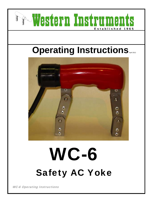

# WC-6 Safety AC Yoke

WC-6 Operating Instructions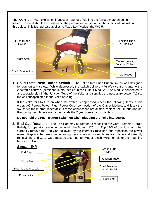The WC-6 is an AC Yoke which induces a magnetic field into the ferrous material being tested. The unit should be used within the parameters as set out in the specifications within this guide. This Manual also applies to Fixed Leg Models, the WC-5.



**1. Solid State Push Button Switch –** The Solid State Push Button Switch was designed for comfort and safety. While depressed, the switch delivers a ½ Watt control signal to the electronic controls (semiconductors) sealed in the Output Module. The Module connected to a receptacle plug in the Junction Tube of the Yoke, and supplies the necessary power (AC) to the coil encapsulated in the Yoke housing.

If the Yoke fails to turn on when the switch is depressed, check the following items in this order; AC Power, Power Plug, Power Cord, connection of the Output Module, and lastly the switch via the internal receptacle, if these connections are all fine, replace the Output Module. Removing the rubber switch cover voids the 2 year warranty on this item.

**Do not hold the Push Button Switch on when plugging the Yoke into power.**

**2. End Cap Rotation –** The End Cap may be rotated to reposition the Cord Protector (Strain Relief), for operator convenience, within the Bottom 120º or Top 120º of the Junction tube. Carefully remove the End Cap, followed by the internal Cross Bar, and reposition the power wires. Replace the cross bar, ensuring the insulation disk (or tape) is in place and carefully reinstall the End Cap. Care must be taken not to twist or 'pinch' wires, on either the mounting bar or End Cap.

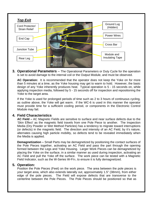

**3. Operational Parameters** – The Operational Parameters or Duty Cycle for the operation is set to avoid damage to the internal coil or the Output Module, and must be observed.

**AC Operation:** It is recommended that the operator does not keep the Yoke on for more than 5 minutes at a time, as the Yoke housing may get to warm to hold. However, the basic design of any Yoke inherently produces heat. Typical operation is 5 - 15 seconds on, while applying inspection media, followed by 5 - 15 seconds off for inspection and repositioning the Yoke to the target area.

If the Yoke is used for prolonged periods of time such as 2 to 3 hours of continuous cycling, as outline above, the Yoke will get warm. If the WC-6 is used in this manner the operator must provide time for a sufficient cooling period, or components in the Electronic Control Module may fail.

#### **4. Field Characteristics**

**AC Field –** AC Magnetic Fields are sensitive to surface and near surface defects due to the 'Skin Effect' as the magnetic field travels from one Pole Piece to another. The Inspection Media (Dry Powder or Wet Method Particles) has a tendency to migrate toward interruptions (or defects) in the magnetic field. The direction and intensity of an AC Field, by it's nature, alternates causing high particle mobility, so defects tend to be revealed immediately when the Media is applied.

**Demagnetization –** Small Parts may be demagnetized by positioning the contact surfaces of the Pole Pieces together, activating an AC Field and pass the part through the opening formed between the Legs and Yoke Housing. Larger Work Pieces can be demagnetized by placing the Yoke on the surface, in a similar manner as used during inspection, activating an AC Field and pull the Yoke off the surface. The work piece can be tested with a Magnetic Field Indicator, such as the W-Series W-FI®, to ensure it is fully demagnetized.

#### **5. Operation:**

Position the Pole Pieces (Feet) on the work piece. The area between the pole pieces is your target area, which also extends laterally out, approximately 1.5" (38mm), from either edge of the pole pieces. The Field will expose defects that are transverse to the centerline between the Pole Pieces. The Pole Pieces should be positioned so that as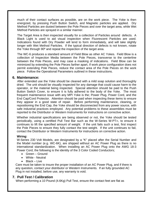much of their contact surfaces as possible, are on the work piece. The Yoke is then energized, by pressing Push Button Switch, and Magnetic particles are applied. Dry Method Particles are dusted between the Pole Pieces and over the target area, while Wet Method Particles are sprayed in a similar manner.

The Target Area is then inspected visually for a collection of Particles around defects. A Black Light is used to aid visual inspection when Fluorescent Particles are used. Indications found with Dry Powder will tend to form immediately, and will take slightly longer with Wet Method Particles. If the typical direction of defects is not known, rotate the Yoke through 90º and repeat the inspection of the target area.

The WC-6 produces a standard amount of Field Blow as other AC Yokes. Field Blow is a collection of Inspection Media between the Pole Pieces, transverse to the centerline between the Pole Pieces, and may case a masking of indications. Field Blow can be minimized by extending the Pole Pieces farther apart, If work piece configuration does not permit extending Pole Pieces, reduce the contact area of the Pole Pieces on the work piece. Follow the Operational Parameters outlined in these instructions.

#### **6. Maintenance:**

After extended use the Yoke should be cleaned with a mild soap solution and thoroughly dried. The unit should be visually inspected for any damage that could cause harm to the operator, or the material being inspected. Special attention should be paid to the Push Button Switch Cover, to ensure it is fully adhered to the body of the Yoke. The most frequent maintenance issue with any MPI Yoke is the; Power Plug, Power Cord, and the End Cap/Cord Protector. Attention should be paid when inspecting these items to ensure they appear in a good state of repair. Before performing maintenance, cleaning, or repositioning the End Cap, the Yoke should be disconnected from any power source, with safe industrial practices employed. Any potential problems to these assemblies must be reported to the Distributor or Western Instruments for instructions on corrective action.

Whether industrial specifications are being observed or not, the Yoke should be tested periodically, using a certified Pull Test Bar such as the W-Series W-PT®, to ensure it continues to lift the specified amount of weight. If the unit fails such a test, first inspect the Pole Pieces to ensure they fully contact the test weight. If the unit continues to fail, contact the Distributor or Western Instruments for instructions on corrective action.

#### **Wiring:**

W-Series 230 Volt Models, are designated by a "K" placed after the Serial Number and the Model number (e.g. WC-6K), are shipped without an AC Power Plug as there is no international standardization. When installing an AC Power Plug onto the AWG 18-3 Power Cord, the following is the identity of the 3 Color Coded Conductors;

- Green Ground
- White Neutral
- Black Live

Care must be taken to insure the proper installation of an AC Power Plug, and if there is any question, contact your distributor or Western Instruments. If an fully grounded AC Plug in not installed, before use, any warranty is void.

#### **7. Pull Test / Calibration**

When performing a 10 Pound (4.6Kg) Pull Test, ensure the contact feet are flat as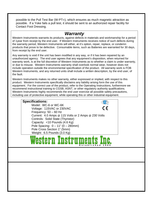possible to the Pull Test Bar (W-PT®), which ensures as much magnetic attraction as possible. If a Yoke fails a pull test, it should be sent to an authorized repair facility for Contact Foot Dressing.

### *Warranty*

Western Instruments warrants its products, against defects in materials and workmanship for a period of 1year from receipt by the end user. If Western Instruments receives notice of such defects during the warranty period, Western Instruments will either, at it's option, repair, replace, or condemn products that prove to be defective. Consumable items, such as Batteries are warranted for 30 days, from receipt by the end user.

Any warranty is void if the unit has been modified in any way, or if it has been repaired by an unauthorized agency. The end user agrees that any equipment's disposition, when returned for warranty work, is at the full discretion of Western Instruments as to whether a claim is under warranty, or due to misuse. Western Instruments warranty shall overlook normal wear, however does not include operation outside the environmental specification of the product. All warranty work is FOB Western Instruments, and any returned units shall include a written description, by the end user, of the fault.

Western Instruments makes no other warranty, either expressed or implied, with respect to this product. Western Instruments specifically disclaims any liability arising form the use of this equipment. For the correct use of the product, refer to the Operating Instructions, furthermore we recommend instructional training to CGSB, ASNT, or other regulatory authority qualifications. Western Instruments highly recommends the end user exercise all possible safety precautions, including use of protective equipment, while operating this or other industrial equipment.

#### **Specifications:**

Model: WC-6 or WC-6K CE Voltage: 115VAC or 230VAC Frequency: 50 – 60 Hz Current: 4.0 Amps @ 115 Volts or 2 Amps @ 230 Volts Controls: Solid State (Thyristor) Capacity: <10 Pounds (4.6 Kg) Pole Spacing: 0 – 11" (0 – 280mm) Pole Cross Section 1" (5mm) Weight: 6.5 Pounds (3.0 Kg)

## **Established 19 6 5**